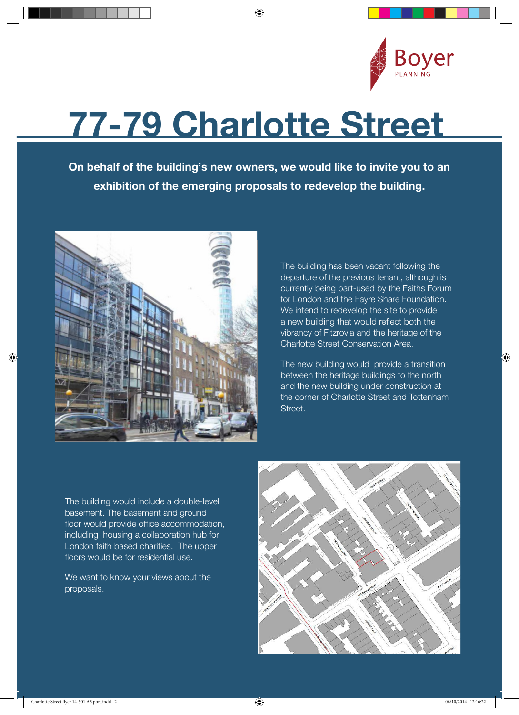

## 77-79 Charlotte Street

◈

On behalf of the building's new owners, we would like to invite you to an exhibition of the emerging proposals to redevelop the building.



The building has been vacant following the departure of the previous tenant, although is currently being part-used by the Faiths Forum for London and the Fayre Share Foundation. We intend to redevelop the site to provide a new building that would reflect both the vibrancy of Fitzrovia and the heritage of the Charlotte Street Conservation Area.

The new building would provide a transition between the heritage buildings to the north and the new building under construction at the corner of Charlotte Street and Tottenham Street.

The building would include a double-level basement. The basement and ground floor would provide office accommodation, including housing a collaboration hub for London faith based charities. The upper floors would be for residential use.

We want to know your views about the proposals.



 $\bigoplus$ 

◈